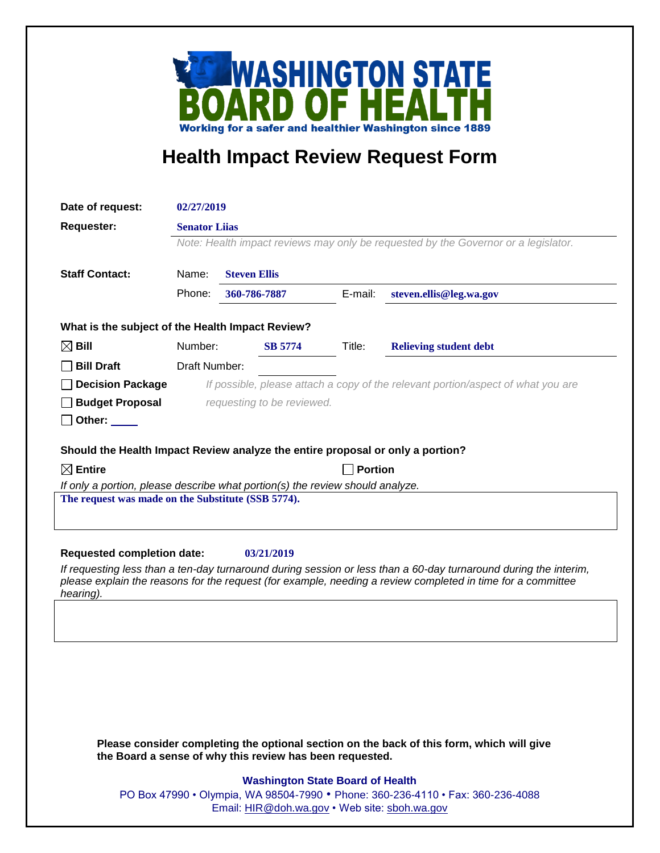

## **Health Impact Review Request Form**

| Date of request:                                                                                                                    | 02/27/2019                                                                         |                                                          |         |                                                                                                                                                                                                                                 |  |
|-------------------------------------------------------------------------------------------------------------------------------------|------------------------------------------------------------------------------------|----------------------------------------------------------|---------|---------------------------------------------------------------------------------------------------------------------------------------------------------------------------------------------------------------------------------|--|
| <b>Requester:</b>                                                                                                                   |                                                                                    | <b>Senator Lijas</b>                                     |         |                                                                                                                                                                                                                                 |  |
|                                                                                                                                     | Note: Health impact reviews may only be requested by the Governor or a legislator. |                                                          |         |                                                                                                                                                                                                                                 |  |
| <b>Staff Contact:</b>                                                                                                               | Name:<br><b>Steven Ellis</b>                                                       |                                                          |         |                                                                                                                                                                                                                                 |  |
|                                                                                                                                     | Phone:                                                                             | 360-786-7887                                             | E-mail: | steven.ellis@leg.wa.gov                                                                                                                                                                                                         |  |
| What is the subject of the Health Impact Review?                                                                                    |                                                                                    |                                                          |         |                                                                                                                                                                                                                                 |  |
| $\boxtimes$ Bill                                                                                                                    | Number:                                                                            | <b>SB 5774</b>                                           | Title:  | <b>Relieving student debt</b>                                                                                                                                                                                                   |  |
| <b>Bill Draft</b>                                                                                                                   | Draft Number:                                                                      |                                                          |         |                                                                                                                                                                                                                                 |  |
| <b>Decision Package</b>                                                                                                             | If possible, please attach a copy of the relevant portion/aspect of what you are   |                                                          |         |                                                                                                                                                                                                                                 |  |
| <b>Budget Proposal</b>                                                                                                              | requesting to be reviewed.                                                         |                                                          |         |                                                                                                                                                                                                                                 |  |
| Other:                                                                                                                              |                                                                                    |                                                          |         |                                                                                                                                                                                                                                 |  |
|                                                                                                                                     |                                                                                    |                                                          |         |                                                                                                                                                                                                                                 |  |
| Should the Health Impact Review analyze the entire proposal or only a portion?                                                      |                                                                                    |                                                          |         |                                                                                                                                                                                                                                 |  |
| $\boxtimes$ Entire                                                                                                                  | <b>Portion</b>                                                                     |                                                          |         |                                                                                                                                                                                                                                 |  |
| If only a portion, please describe what portion(s) the review should analyze.<br>The request was made on the Substitute (SSB 5774). |                                                                                    |                                                          |         |                                                                                                                                                                                                                                 |  |
|                                                                                                                                     |                                                                                    |                                                          |         |                                                                                                                                                                                                                                 |  |
|                                                                                                                                     |                                                                                    |                                                          |         |                                                                                                                                                                                                                                 |  |
|                                                                                                                                     |                                                                                    |                                                          |         |                                                                                                                                                                                                                                 |  |
| <b>Requested completion date:</b>                                                                                                   |                                                                                    | 03/21/2019                                               |         |                                                                                                                                                                                                                                 |  |
|                                                                                                                                     |                                                                                    |                                                          |         | If requesting less than a ten-day turnaround during session or less than a 60-day turnaround during the interim,<br>please explain the reasons for the request (for example, needing a review completed in time for a committee |  |
| hearing).                                                                                                                           |                                                                                    |                                                          |         |                                                                                                                                                                                                                                 |  |
|                                                                                                                                     |                                                                                    |                                                          |         |                                                                                                                                                                                                                                 |  |
|                                                                                                                                     |                                                                                    |                                                          |         |                                                                                                                                                                                                                                 |  |
|                                                                                                                                     |                                                                                    |                                                          |         |                                                                                                                                                                                                                                 |  |
|                                                                                                                                     |                                                                                    |                                                          |         |                                                                                                                                                                                                                                 |  |
|                                                                                                                                     |                                                                                    |                                                          |         |                                                                                                                                                                                                                                 |  |
|                                                                                                                                     |                                                                                    |                                                          |         |                                                                                                                                                                                                                                 |  |
|                                                                                                                                     |                                                                                    |                                                          |         |                                                                                                                                                                                                                                 |  |
|                                                                                                                                     |                                                                                    |                                                          |         |                                                                                                                                                                                                                                 |  |
|                                                                                                                                     |                                                                                    | the Board a sense of why this review has been requested. |         | Please consider completing the optional section on the back of this form, which will give                                                                                                                                       |  |
|                                                                                                                                     |                                                                                    | <b>Washington State Board of Health</b>                  |         |                                                                                                                                                                                                                                 |  |
|                                                                                                                                     |                                                                                    |                                                          |         | PO Box 47990 • Olympia, WA 98504-7990 • Phone: 360-236-4110 • Fax: 360-236-4088                                                                                                                                                 |  |
|                                                                                                                                     | Email: HIR@doh.wa.gov • Web site: sboh.wa.gov                                      |                                                          |         |                                                                                                                                                                                                                                 |  |